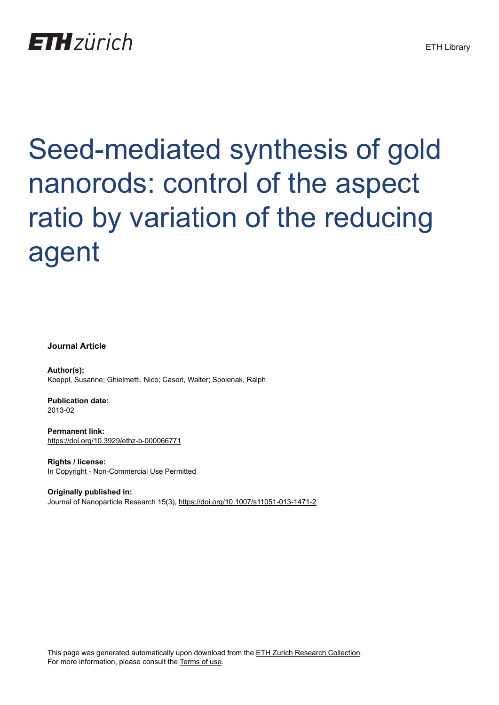## **ETH** zürich

# Seed-mediated synthesis of gold nanorods: control of the aspect ratio by variation of the reducing agent

#### **Journal Article**

**Author(s):** Koeppl, Susanne; Ghielmetti, Nico; Caseri, Walter; Spolenak, Ralph

**Publication date:** 2013-02

**Permanent link:** <https://doi.org/10.3929/ethz-b-000066771>

**Rights / license:** [In Copyright - Non-Commercial Use Permitted](http://rightsstatements.org/page/InC-NC/1.0/)

**Originally published in:** Journal of Nanoparticle Research 15(3),<https://doi.org/10.1007/s11051-013-1471-2>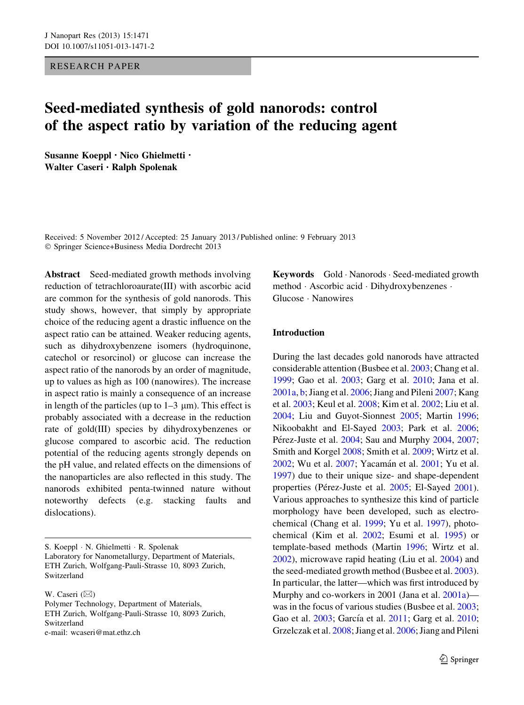RESEARCH PAPER

### Seed-mediated synthesis of gold nanorods: control of the aspect ratio by variation of the reducing agent

Susanne Koeppl • Nico Ghielmetti • Walter Caseri • Ralph Spolenak

Received: 5 November 2012 / Accepted: 25 January 2013 / Published online: 9 February 2013 - Springer Science+Business Media Dordrecht 2013

Abstract Seed-mediated growth methods involving reduction of tetrachloroaurate(III) with ascorbic acid are common for the synthesis of gold nanorods. This study shows, however, that simply by appropriate choice of the reducing agent a drastic influence on the aspect ratio can be attained. Weaker reducing agents, such as dihydroxybenzene isomers (hydroquinone, catechol or resorcinol) or glucose can increase the aspect ratio of the nanorods by an order of magnitude, up to values as high as 100 (nanowires). The increase in aspect ratio is mainly a consequence of an increase in length of the particles (up to  $1-3 \mu$ m). This effect is probably associated with a decrease in the reduction rate of gold(III) species by dihydroxybenzenes or glucose compared to ascorbic acid. The reduction potential of the reducing agents strongly depends on the pH value, and related effects on the dimensions of the nanoparticles are also reflected in this study. The nanorods exhibited penta-twinned nature without noteworthy defects (e.g. stacking faults and dislocations).

S. Koeppl - N. Ghielmetti - R. Spolenak Laboratory for Nanometallurgy, Department of Materials, ETH Zurich, Wolfgang-Pauli-Strasse 10, 8093 Zurich, Switzerland

W. Caseri  $(\boxtimes)$ Polymer Technology, Department of Materials, ETH Zurich, Wolfgang-Pauli-Strasse 10, 8093 Zurich, Switzerland e-mail: wcaseri@mat.ethz.ch

Keywords Gold · Nanorods · Seed-mediated growth method - Ascorbic acid - Dihydroxybenzenes - Glucose - Nanowires

#### Introduction

During the last decades gold nanorods have attracted considerable attention (Busbee et al. [2003](#page-10-0); Chang et al. [1999;](#page-10-0) Gao et al. [2003](#page-10-0); Garg et al. [2010](#page-10-0); Jana et al. [2001a](#page-10-0), [b](#page-10-0); Jiang et al. [2006;](#page-10-0) Jiang and Pileni [2007](#page-10-0); Kang et al. [2003](#page-10-0); Keul et al. [2008;](#page-10-0) Kim et al. [2002](#page-10-0); Liu et al. [2004;](#page-10-0) Liu and Guyot-Sionnest [2005;](#page-10-0) Martin [1996](#page-10-0); Nikoobakht and El-Sayed [2003;](#page-10-0) Park et al. [2006](#page-10-0); Pérez-Juste et al. [2004](#page-11-0); Sau and Murphy 2004, [2007](#page-11-0); Smith and Korgel [2008;](#page-11-0) Smith et al. [2009;](#page-11-0) Wirtz et al. [2002;](#page-11-0) Wu et al. [2007;](#page-11-0) Yacamán et al. [2001;](#page-11-0) Yu et al. [1997\)](#page-11-0) due to their unique size- and shape-dependent properties (Pérez-Juste et al. [2005;](#page-11-0) El-Sayed [2001](#page-10-0)). Various approaches to synthesize this kind of particle morphology have been developed, such as electrochemical (Chang et al. [1999](#page-10-0); Yu et al. [1997](#page-11-0)), photochemical (Kim et al. [2002;](#page-10-0) Esumi et al. [1995\)](#page-10-0) or template-based methods (Martin [1996;](#page-10-0) Wirtz et al. [2002\)](#page-11-0), microwave rapid heating (Liu et al. [2004\)](#page-10-0) and the seed-mediated growth method (Busbee et al. [2003](#page-10-0)). In particular, the latter—which was first introduced by Murphy and co-workers in 2001 (Jana et al. [2001a\)](#page-10-0) was in the focus of various studies (Busbee et al. [2003;](#page-10-0) Gao et al. [2003](#page-10-0); García et al. [2011;](#page-10-0) Garg et al. [2010](#page-10-0); Grzelczak et al. [2008](#page-10-0); Jiang et al. [2006](#page-10-0); Jiang and Pileni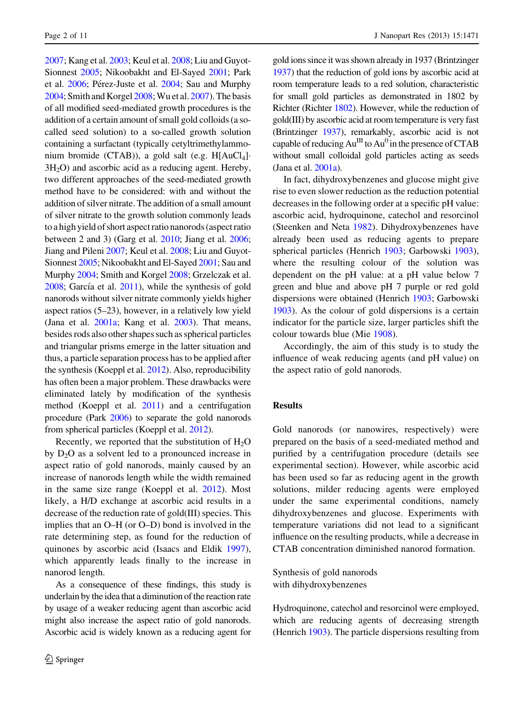[2007;](#page-10-0) Kang et al. [2003;](#page-10-0) Keul et al. [2008;](#page-10-0) Liu and Guyot-Sionnest [2005;](#page-10-0) Nikoobakht and El-Sayed [2001;](#page-10-0) Park et al. [2006](#page-10-0); Pérez-Juste et al. [2004](#page-10-0); Sau and Murphy [2004](#page-11-0); Smith and Korgel [2008](#page-11-0); Wu et al. [2007\)](#page-11-0). The basis of all modified seed-mediated growth procedures is the addition of a certain amount of small gold colloids (a socalled seed solution) to a so-called growth solution containing a surfactant (typically cetyltrimethylammonium bromide (CTAB)), a gold salt (e.g. H[AuCl<sub>4</sub>]· 3H2O) and ascorbic acid as a reducing agent. Hereby, two different approaches of the seed-mediated growth method have to be considered: with and without the addition of silver nitrate. The addition of a small amount of silver nitrate to the growth solution commonly leads to a high yield of short aspect ratio nanorods (aspect ratio between 2 and 3) (Garg et al. [2010](#page-10-0); Jiang et al. [2006](#page-10-0); Jiang and Pileni [2007;](#page-10-0) Keul et al. [2008](#page-10-0); Liu and Guyot-Sionnest [2005;](#page-10-0) Nikoobakht and El-Sayed [2001](#page-10-0); Sau and Murphy [2004](#page-11-0); Smith and Korgel [2008](#page-11-0); Grzelczak et al.  $2008$ ; García et al.  $2011$ ), while the synthesis of gold nanorods without silver nitrate commonly yields higher aspect ratios (5–23), however, in a relatively low yield (Jana et al. [2001a](#page-10-0); Kang et al. [2003](#page-10-0)). That means, besides rods also other shapes such as spherical particles and triangular prisms emerge in the latter situation and thus, a particle separation process has to be applied after the synthesis (Koeppl et al. [2012](#page-10-0)). Also, reproducibility has often been a major problem. These drawbacks were eliminated lately by modification of the synthesis method (Koeppl et al. [2011\)](#page-10-0) and a centrifugation procedure (Park [2006](#page-10-0)) to separate the gold nanorods from spherical particles (Koeppl et al. [2012](#page-10-0)).

Recently, we reported that the substitution of  $H_2O$ by  $D_2O$  as a solvent led to a pronounced increase in aspect ratio of gold nanorods, mainly caused by an increase of nanorods length while the width remained in the same size range (Koeppl et al. [2012](#page-10-0)). Most likely, a H/D exchange at ascorbic acid results in a decrease of the reduction rate of gold(III) species. This implies that an O–H (or O–D) bond is involved in the rate determining step, as found for the reduction of quinones by ascorbic acid (Isaacs and Eldik [1997](#page-10-0)), which apparently leads finally to the increase in nanorod length.

As a consequence of these findings, this study is underlain by the idea that a diminution of the reaction rate by usage of a weaker reducing agent than ascorbic acid might also increase the aspect ratio of gold nanorods. Ascorbic acid is widely known as a reducing agent for gold ions since it was shown already in 1937 (Brintzinger [1937](#page-10-0)) that the reduction of gold ions by ascorbic acid at room temperature leads to a red solution, characteristic for small gold particles as demonstrated in 1802 by Richter (Richter [1802](#page-11-0)). However, while the reduction of gold(III) by ascorbic acid at room temperature is very fast (Brintzinger [1937\)](#page-10-0), remarkably, ascorbic acid is not capable of reducing  $Au^{III}$  to  $Au^{0}$  in the presence of CTAB without small colloidal gold particles acting as seeds (Jana et al. [2001a\)](#page-10-0).

In fact, dihydroxybenzenes and glucose might give rise to even slower reduction as the reduction potential decreases in the following order at a specific pH value: ascorbic acid, hydroquinone, catechol and resorcinol (Steenken and Neta [1982\)](#page-11-0). Dihydroxybenzenes have already been used as reducing agents to prepare spherical particles (Henrich [1903](#page-10-0); Garbowski [1903](#page-10-0)), where the resulting colour of the solution was dependent on the pH value: at a pH value below 7 green and blue and above pH 7 purple or red gold dispersions were obtained (Henrich [1903;](#page-10-0) Garbowski [1903\)](#page-10-0). As the colour of gold dispersions is a certain indicator for the particle size, larger particles shift the colour towards blue (Mie [1908\)](#page-10-0).

Accordingly, the aim of this study is to study the influence of weak reducing agents (and pH value) on the aspect ratio of gold nanorods.

#### Results

Gold nanorods (or nanowires, respectively) were prepared on the basis of a seed-mediated method and purified by a centrifugation procedure (details see experimental section). However, while ascorbic acid has been used so far as reducing agent in the growth solutions, milder reducing agents were employed under the same experimental conditions, namely dihydroxybenzenes and glucose. Experiments with temperature variations did not lead to a significant influence on the resulting products, while a decrease in CTAB concentration diminished nanorod formation.

Synthesis of gold nanorods with dihydroxybenzenes

Hydroquinone, catechol and resorcinol were employed, which are reducing agents of decreasing strength (Henrich [1903\)](#page-10-0). The particle dispersions resulting from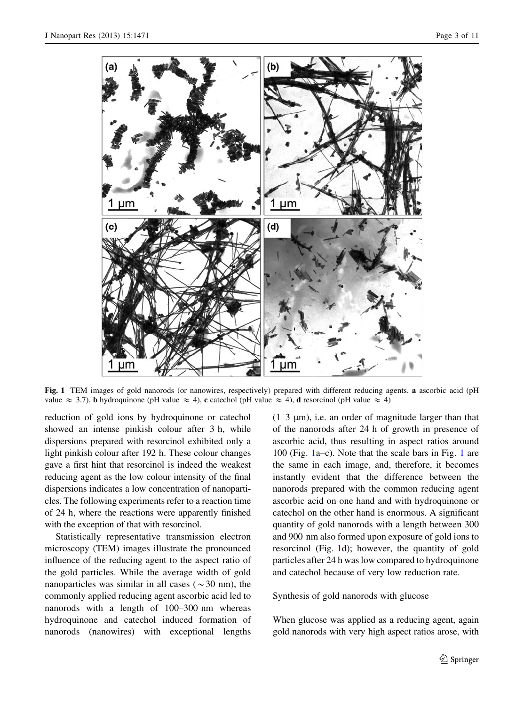

Fig. 1 TEM images of gold nanorods (or nanowires, respectively) prepared with different reducing agents. a ascorbic acid (pH value  $\approx$  3.7), **b** hydroquinone (pH value  $\approx$  4), **c** catechol (pH value  $\approx$  4), **d** resorcinol (pH value  $\approx$  4)

reduction of gold ions by hydroquinone or catechol showed an intense pinkish colour after 3 h, while dispersions prepared with resorcinol exhibited only a light pinkish colour after 192 h. These colour changes gave a first hint that resorcinol is indeed the weakest reducing agent as the low colour intensity of the final dispersions indicates a low concentration of nanoparticles. The following experiments refer to a reaction time of 24 h, where the reactions were apparently finished with the exception of that with resorcinol.

Statistically representative transmission electron microscopy (TEM) images illustrate the pronounced influence of the reducing agent to the aspect ratio of the gold particles. While the average width of gold nanoparticles was similar in all cases ( $\sim$ 30 nm), the commonly applied reducing agent ascorbic acid led to nanorods with a length of 100–300 nm whereas hydroquinone and catechol induced formation of nanorods (nanowires) with exceptional lengths

 $(1-3 \mu m)$ , i.e. an order of magnitude larger than that of the nanorods after 24 h of growth in presence of ascorbic acid, thus resulting in aspect ratios around 100 (Fig. 1a–c). Note that the scale bars in Fig. 1 are the same in each image, and, therefore, it becomes instantly evident that the difference between the nanorods prepared with the common reducing agent ascorbic acid on one hand and with hydroquinone or catechol on the other hand is enormous. A significant quantity of gold nanorods with a length between 300 and 900 nm also formed upon exposure of gold ions to resorcinol (Fig. 1d); however, the quantity of gold particles after 24 h was low compared to hydroquinone and catechol because of very low reduction rate.

Synthesis of gold nanorods with glucose

When glucose was applied as a reducing agent, again gold nanorods with very high aspect ratios arose, with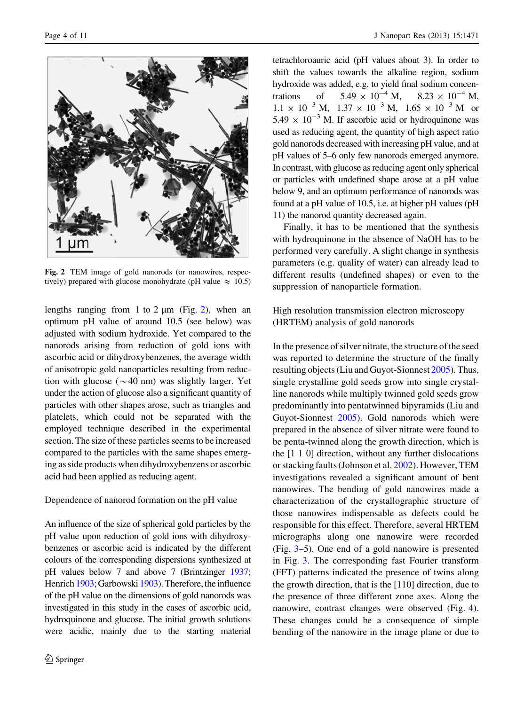

Fig. 2 TEM image of gold nanorods (or nanowires, respectively) prepared with glucose monohydrate (pH value  $\approx 10.5$ )

lengths ranging from 1 to 2  $\mu$ m (Fig. 2), when an optimum pH value of around 10.5 (see below) was adjusted with sodium hydroxide. Yet compared to the nanorods arising from reduction of gold ions with ascorbic acid or dihydroxybenzenes, the average width of anisotropic gold nanoparticles resulting from reduction with glucose ( $\sim$ 40 nm) was slightly larger. Yet under the action of glucose also a significant quantity of particles with other shapes arose, such as triangles and platelets, which could not be separated with the employed technique described in the experimental section. The size of these particles seems to be increased compared to the particles with the same shapes emerging as side products when dihydroxybenzens or ascorbic acid had been applied as reducing agent.

Dependence of nanorod formation on the pH value

An influence of the size of spherical gold particles by the pH value upon reduction of gold ions with dihydroxybenzenes or ascorbic acid is indicated by the different colours of the corresponding dispersions synthesized at pH values below 7 and above 7 (Brintzinger [1937](#page-10-0); Henrich [1903](#page-10-0); Garbowski 1903). Therefore, the influence of the pH value on the dimensions of gold nanorods was investigated in this study in the cases of ascorbic acid, hydroquinone and glucose. The initial growth solutions were acidic, mainly due to the starting material tetrachloroauric acid (pH values about 3). In order to shift the values towards the alkaline region, sodium hydroxide was added, e.g. to yield final sodium concentrations of  $5.49 \times 10^{-4}$  M,  $8.23 \times 10^{-4}$  M,  $5.49 \times 10^{-4}$  M,  $1.1 \times 10^{-3}$  M,  $1.37 \times 10^{-3}$  M,  $1.65 \times 10^{-3}$  M or  $5.49 \times 10^{-3}$  M. If ascorbic acid or hydroquinone was used as reducing agent, the quantity of high aspect ratio gold nanorods decreased with increasing pH value, and at pH values of 5–6 only few nanorods emerged anymore. In contrast, with glucose as reducing agent only spherical or particles with undefined shape arose at a pH value below 9, and an optimum performance of nanorods was found at a pH value of 10.5, i.e. at higher pH values (pH 11) the nanorod quantity decreased again.

Finally, it has to be mentioned that the synthesis with hydroquinone in the absence of NaOH has to be performed very carefully. A slight change in synthesis parameters (e.g. quality of water) can already lead to different results (undefined shapes) or even to the suppression of nanoparticle formation.

High resolution transmission electron microscopy (HRTEM) analysis of gold nanorods

In the presence of silver nitrate, the structure of the seed was reported to determine the structure of the finally resulting objects (Liu and Guyot-Sionnest [2005](#page-10-0)). Thus, single crystalline gold seeds grow into single crystalline nanorods while multiply twinned gold seeds grow predominantly into pentatwinned bipyramids (Liu and Guyot-Sionnest [2005\)](#page-10-0). Gold nanorods which were prepared in the absence of silver nitrate were found to be penta-twinned along the growth direction, which is the [1 1 0] direction, without any further dislocations or stacking faults (Johnson et al. [2002](#page-10-0)). However, TEM investigations revealed a significant amount of bent nanowires. The bending of gold nanowires made a characterization of the crystallographic structure of those nanowires indispensable as defects could be responsible for this effect. Therefore, several HRTEM micrographs along one nanowire were recorded (Fig. [3](#page-5-0)–5). One end of a gold nanowire is presented in Fig. [3.](#page-5-0) The corresponding fast Fourier transform (FFT) patterns indicated the presence of twins along the growth direction, that is the [110] direction, due to the presence of three different zone axes. Along the nanowire, contrast changes were observed (Fig. [4](#page-6-0)). These changes could be a consequence of simple bending of the nanowire in the image plane or due to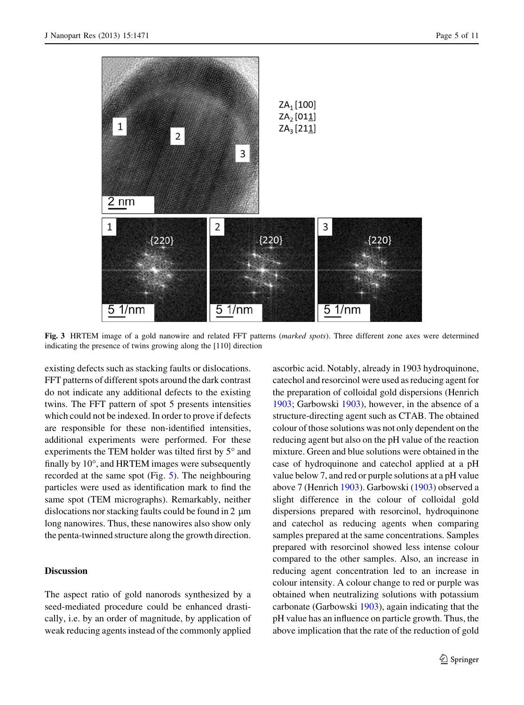<span id="page-5-0"></span>

Fig. 3 HRTEM image of a gold nanowire and related FFT patterns (marked spots). Three different zone axes were determined indicating the presence of twins growing along the [110] direction

existing defects such as stacking faults or dislocations. FFT patterns of different spots around the dark contrast do not indicate any additional defects to the existing twins. The FFT pattern of spot 5 presents intensities which could not be indexed. In order to prove if defects are responsible for these non-identified intensities, additional experiments were performed. For these experiments the TEM holder was tilted first by  $5^\circ$  and finally by  $10^{\circ}$ , and HRTEM images were subsequently recorded at the same spot (Fig. [5](#page-7-0)). The neighbouring particles were used as identification mark to find the same spot (TEM micrographs). Remarkably, neither dislocations nor stacking faults could be found in  $2 \mu m$ long nanowires. Thus, these nanowires also show only the penta-twinned structure along the growth direction.

#### Discussion

The aspect ratio of gold nanorods synthesized by a seed-mediated procedure could be enhanced drastically, i.e. by an order of magnitude, by application of weak reducing agents instead of the commonly applied

ascorbic acid. Notably, already in 1903 hydroquinone, catechol and resorcinol were used as reducing agent for the preparation of colloidal gold dispersions (Henrich [1903;](#page-10-0) Garbowski [1903\)](#page-10-0), however, in the absence of a structure-directing agent such as CTAB. The obtained colour of those solutions was not only dependent on the reducing agent but also on the pH value of the reaction mixture. Green and blue solutions were obtained in the case of hydroquinone and catechol applied at a pH value below 7, and red or purple solutions at a pH value above 7 (Henrich [1903](#page-10-0)). Garbowski [\(1903](#page-10-0)) observed a slight difference in the colour of colloidal gold dispersions prepared with resorcinol, hydroquinone and catechol as reducing agents when comparing samples prepared at the same concentrations. Samples prepared with resorcinol showed less intense colour compared to the other samples. Also, an increase in reducing agent concentration led to an increase in colour intensity. A colour change to red or purple was obtained when neutralizing solutions with potassium carbonate (Garbowski [1903\)](#page-10-0), again indicating that the pH value has an influence on particle growth. Thus, the above implication that the rate of the reduction of gold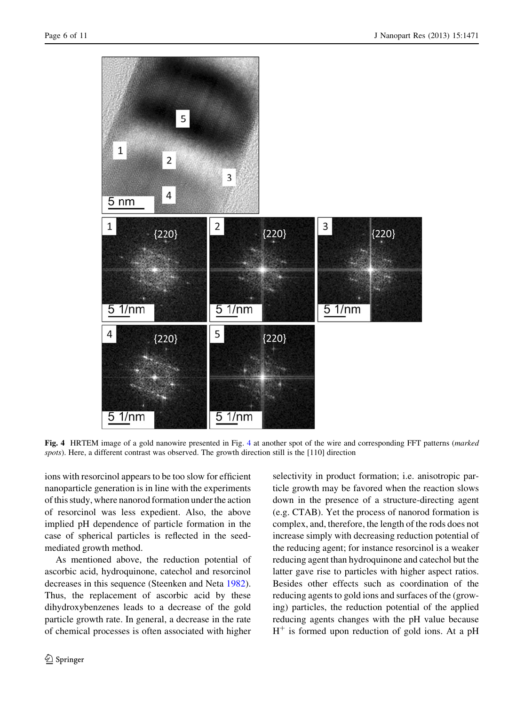<span id="page-6-0"></span>

Fig. 4 HRTEM image of a gold nanowire presented in Fig. 4 at another spot of the wire and corresponding FFT patterns (marked spots). Here, a different contrast was observed. The growth direction still is the [110] direction

ions with resorcinol appears to be too slow for efficient nanoparticle generation is in line with the experiments of this study, where nanorod formation under the action of resorcinol was less expedient. Also, the above implied pH dependence of particle formation in the case of spherical particles is reflected in the seedmediated growth method.

As mentioned above, the reduction potential of ascorbic acid, hydroquinone, catechol and resorcinol decreases in this sequence (Steenken and Neta [1982](#page-11-0)). Thus, the replacement of ascorbic acid by these dihydroxybenzenes leads to a decrease of the gold particle growth rate. In general, a decrease in the rate of chemical processes is often associated with higher selectivity in product formation; i.e. anisotropic particle growth may be favored when the reaction slows down in the presence of a structure-directing agent (e.g. CTAB). Yet the process of nanorod formation is complex, and, therefore, the length of the rods does not increase simply with decreasing reduction potential of the reducing agent; for instance resorcinol is a weaker reducing agent than hydroquinone and catechol but the latter gave rise to particles with higher aspect ratios. Besides other effects such as coordination of the reducing agents to gold ions and surfaces of the (growing) particles, the reduction potential of the applied reducing agents changes with the pH value because  $H^+$  is formed upon reduction of gold ions. At a pH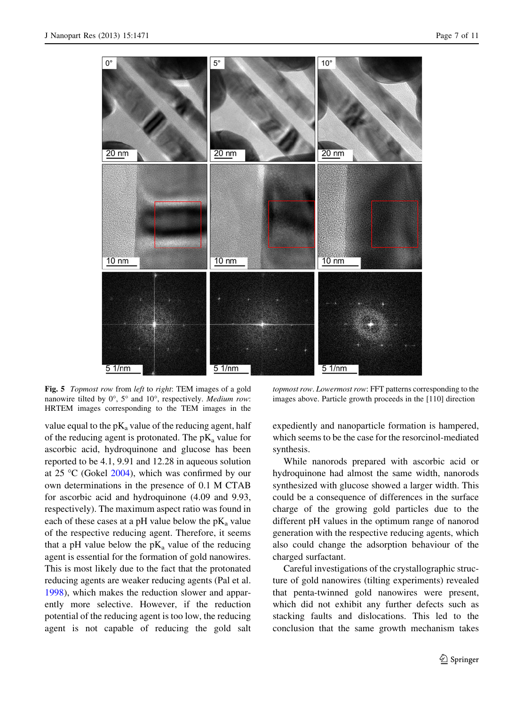<span id="page-7-0"></span>

Fig. 5 Topmost row from left to right: TEM images of a gold nanowire tilted by  $0^\circ$ ,  $5^\circ$  and  $10^\circ$ , respectively. *Medium row*: HRTEM images corresponding to the TEM images in the

value equal to the  $pK_a$  value of the reducing agent, half of the reducing agent is protonated. The  $pK_a$  value for ascorbic acid, hydroquinone and glucose has been reported to be 4.1, 9.91 and 12.28 in aqueous solution at  $25 \text{ °C}$  (Gokel  $2004$ ), which was confirmed by our own determinations in the presence of 0.1 M CTAB for ascorbic acid and hydroquinone (4.09 and 9.93, respectively). The maximum aspect ratio was found in each of these cases at a pH value below the  $pK_a$  value of the respective reducing agent. Therefore, it seems that a pH value below the  $pK_a$  value of the reducing agent is essential for the formation of gold nanowires. This is most likely due to the fact that the protonated reducing agents are weaker reducing agents (Pal et al. [1998\)](#page-10-0), which makes the reduction slower and apparently more selective. However, if the reduction potential of the reducing agent is too low, the reducing agent is not capable of reducing the gold salt

topmost row. Lowermost row: FFT patterns corresponding to the images above. Particle growth proceeds in the [110] direction

expediently and nanoparticle formation is hampered, which seems to be the case for the resorcinol-mediated synthesis.

While nanorods prepared with ascorbic acid or hydroquinone had almost the same width, nanorods synthesized with glucose showed a larger width. This could be a consequence of differences in the surface charge of the growing gold particles due to the different pH values in the optimum range of nanorod generation with the respective reducing agents, which also could change the adsorption behaviour of the charged surfactant.

Careful investigations of the crystallographic structure of gold nanowires (tilting experiments) revealed that penta-twinned gold nanowires were present, which did not exhibit any further defects such as stacking faults and dislocations. This led to the conclusion that the same growth mechanism takes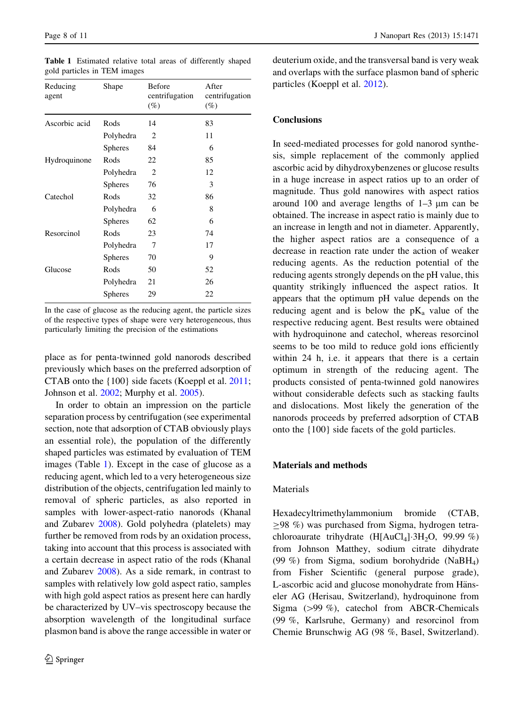| Reducing<br>agent | Shape          | Before<br>centrifugation<br>(%) | After<br>centrifugation<br>(%) |
|-------------------|----------------|---------------------------------|--------------------------------|
| Ascorbic acid     | Rods           | 14                              | 83                             |
|                   | Polyhedra      | 2                               | 11                             |
|                   | <b>Spheres</b> | 84                              | 6                              |
| Hydroquinone      | Rods           | 22                              | 85                             |
|                   | Polyhedra      | $\overline{c}$                  | 12                             |
|                   | <b>Spheres</b> | 76                              | 3                              |
| Catechol          | Rods           | 32                              | 86                             |
|                   | Polyhedra      | 6                               | 8                              |
|                   | <b>Spheres</b> | 62                              | 6                              |
| Resorcinol        | Rods           | 23                              | 74                             |
|                   | Polyhedra      | 7                               | 17                             |
|                   | <b>Spheres</b> | 70                              | 9                              |
| Glucose           | Rods           | 50                              | 52                             |
|                   | Polyhedra      | 21                              | 26                             |
|                   | <b>Spheres</b> | 29                              | 22                             |
|                   |                |                                 |                                |

Table 1 Estimated relative total areas of differently shaped gold particles in TEM images

In the case of glucose as the reducing agent, the particle sizes of the respective types of shape were very heterogeneous, thus particularly limiting the precision of the estimations

place as for penta-twinned gold nanorods described previously which bases on the preferred adsorption of CTAB onto the {100} side facets (Koeppl et al. [2011](#page-10-0); Johnson et al. [2002;](#page-10-0) Murphy et al. [2005\)](#page-10-0).

In order to obtain an impression on the particle separation process by centrifugation (see experimental section, note that adsorption of CTAB obviously plays an essential role), the population of the differently shaped particles was estimated by evaluation of TEM images (Table 1). Except in the case of glucose as a reducing agent, which led to a very heterogeneous size distribution of the objects, centrifugation led mainly to removal of spheric particles, as also reported in samples with lower-aspect-ratio nanorods (Khanal and Zubarev [2008\)](#page-10-0). Gold polyhedra (platelets) may further be removed from rods by an oxidation process, taking into account that this process is associated with a certain decrease in aspect ratio of the rods (Khanal and Zubarev [2008\)](#page-10-0). As a side remark, in contrast to samples with relatively low gold aspect ratio, samples with high gold aspect ratios as present here can hardly be characterized by UV–vis spectroscopy because the absorption wavelength of the longitudinal surface plasmon band is above the range accessible in water or deuterium oxide, and the transversal band is very weak and overlaps with the surface plasmon band of spheric particles (Koeppl et al. [2012\)](#page-10-0).

#### **Conclusions**

In seed-mediated processes for gold nanorod synthesis, simple replacement of the commonly applied ascorbic acid by dihydroxybenzenes or glucose results in a huge increase in aspect ratios up to an order of magnitude. Thus gold nanowires with aspect ratios around 100 and average lengths of  $1-3 \mu m$  can be obtained. The increase in aspect ratio is mainly due to an increase in length and not in diameter. Apparently, the higher aspect ratios are a consequence of a decrease in reaction rate under the action of weaker reducing agents. As the reduction potential of the reducing agents strongly depends on the pH value, this quantity strikingly influenced the aspect ratios. It appears that the optimum pH value depends on the reducing agent and is below the  $pK_a$  value of the respective reducing agent. Best results were obtained with hydroquinone and catechol, whereas resorcinol seems to be too mild to reduce gold ions efficiently within 24 h, i.e. it appears that there is a certain optimum in strength of the reducing agent. The products consisted of penta-twinned gold nanowires without considerable defects such as stacking faults and dislocations. Most likely the generation of the nanorods proceeds by preferred adsorption of CTAB onto the {100} side facets of the gold particles.

#### Materials and methods

#### Materials

Hexadecyltrimethylammonium bromide (CTAB,  $>98$  %) was purchased from Sigma, hydrogen tetrachloroaurate trihydrate  $(H[AuCl_4]\cdot 3H_2O, 99.99\%)$ from Johnson Matthey, sodium citrate dihydrate (99 %) from Sigma, sodium borohydride (NaBH4) from Fisher Scientific (general purpose grade), L-ascorbic acid and glucose monohydrate from Hänseler AG (Herisau, Switzerland), hydroquinone from Sigma  $(>99 \%)$ , catechol from ABCR-Chemicals (99 %, Karlsruhe, Germany) and resorcinol from Chemie Brunschwig AG (98 %, Basel, Switzerland).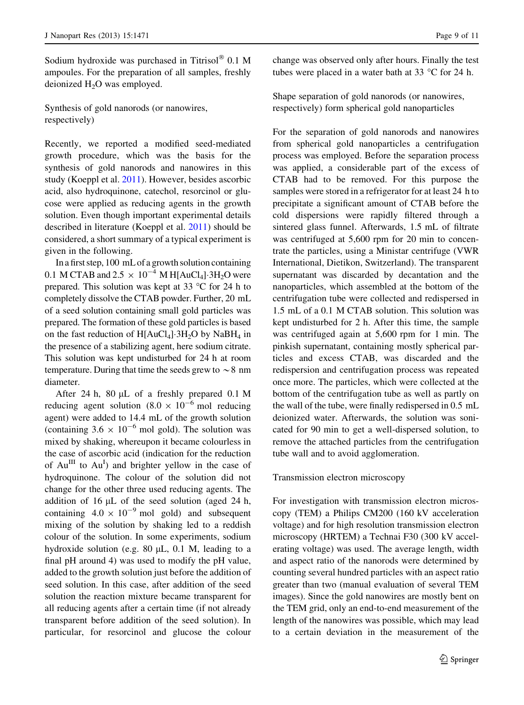Sodium hydroxide was purchased in Titrisol $\textcircled{8}$  0.1 M ampoules. For the preparation of all samples, freshly deionized  $H_2O$  was employed.

Synthesis of gold nanorods (or nanowires, respectively)

Recently, we reported a modified seed-mediated growth procedure, which was the basis for the synthesis of gold nanorods and nanowires in this study (Koeppl et al. [2011\)](#page-10-0). However, besides ascorbic acid, also hydroquinone, catechol, resorcinol or glucose were applied as reducing agents in the growth solution. Even though important experimental details described in literature (Koeppl et al. [2011\)](#page-10-0) should be considered, a short summary of a typical experiment is given in the following.

In a first step, 100 mL of a growth solution containing 0.1 M CTAB and 2.5  $\times$  10<sup>-4</sup> M H[AuCl<sub>4</sub>]-3H<sub>2</sub>O were prepared. This solution was kept at 33  $\degree$ C for 24 h to completely dissolve the CTAB powder. Further, 20 mL of a seed solution containing small gold particles was prepared. The formation of these gold particles is based on the fast reduction of  $H[AuCl_4]$   $3H_2O$  by NaB $H_4$  in the presence of a stabilizing agent, here sodium citrate. This solution was kept undisturbed for 24 h at room temperature. During that time the seeds grew to  $\sim$  8 nm diameter.

After 24 h, 80  $\mu$ L of a freshly prepared 0.1 M reducing agent solution  $(8.0 \times 10^{-6} \text{ mol} \text{ reducing})$ agent) were added to 14.4 mL of the growth solution (containing  $3.6 \times 10^{-6}$  mol gold). The solution was mixed by shaking, whereupon it became colourless in the case of ascorbic acid (indication for the reduction of  $Au^{\text{III}}$  to  $Au^{\text{I}}$  and brighter yellow in the case of hydroquinone. The colour of the solution did not change for the other three used reducing agents. The addition of  $16 \mu L$  of the seed solution (aged  $24 h$ , containing  $4.0 \times 10^{-9}$  mol gold) and subsequent mixing of the solution by shaking led to a reddish colour of the solution. In some experiments, sodium hydroxide solution (e.g.  $80 \mu L$ , 0.1 M, leading to a final pH around 4) was used to modify the pH value, added to the growth solution just before the addition of seed solution. In this case, after addition of the seed solution the reaction mixture became transparent for all reducing agents after a certain time (if not already transparent before addition of the seed solution). In particular, for resorcinol and glucose the colour

change was observed only after hours. Finally the test tubes were placed in a water bath at  $33^{\circ}$ C for 24 h.

Shape separation of gold nanorods (or nanowires, respectively) form spherical gold nanoparticles

For the separation of gold nanorods and nanowires from spherical gold nanoparticles a centrifugation process was employed. Before the separation process was applied, a considerable part of the excess of CTAB had to be removed. For this purpose the samples were stored in a refrigerator for at least 24 h to precipitate a significant amount of CTAB before the cold dispersions were rapidly filtered through a sintered glass funnel. Afterwards, 1.5 mL of filtrate was centrifuged at 5,600 rpm for 20 min to concentrate the particles, using a Ministar centrifuge (VWR International, Dietikon, Switzerland). The transparent supernatant was discarded by decantation and the nanoparticles, which assembled at the bottom of the centrifugation tube were collected and redispersed in 1.5 mL of a 0.1 M CTAB solution. This solution was kept undisturbed for 2 h. After this time, the sample was centrifuged again at 5,600 rpm for 1 min. The pinkish supernatant, containing mostly spherical particles and excess CTAB, was discarded and the redispersion and centrifugation process was repeated once more. The particles, which were collected at the bottom of the centrifugation tube as well as partly on the wall of the tube, were finally redispersed in 0.5 mL deionized water. Afterwards, the solution was sonicated for 90 min to get a well-dispersed solution, to remove the attached particles from the centrifugation tube wall and to avoid agglomeration.

#### Transmission electron microscopy

For investigation with transmission electron microscopy (TEM) a Philips CM200 (160 kV acceleration voltage) and for high resolution transmission electron microscopy (HRTEM) a Technai F30 (300 kV accelerating voltage) was used. The average length, width and aspect ratio of the nanorods were determined by counting several hundred particles with an aspect ratio greater than two (manual evaluation of several TEM images). Since the gold nanowires are mostly bent on the TEM grid, only an end-to-end measurement of the length of the nanowires was possible, which may lead to a certain deviation in the measurement of the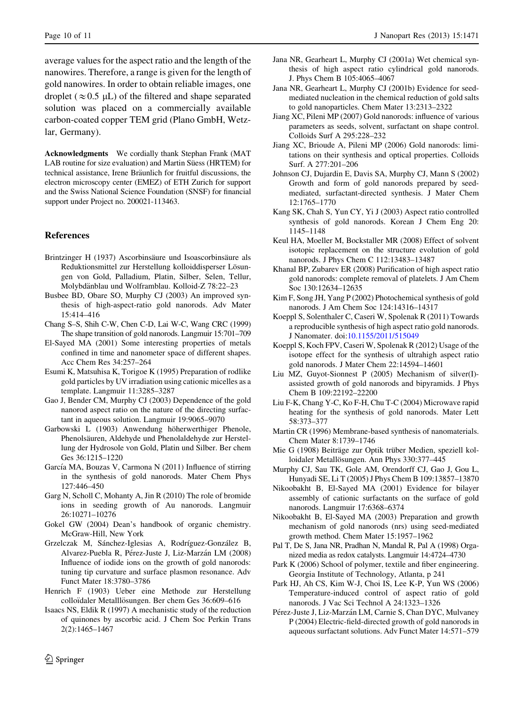<span id="page-10-0"></span>average values for the aspect ratio and the length of the nanowires. Therefore, a range is given for the length of gold nanowires. In order to obtain reliable images, one droplet ( $\approx 0.5$  µL) of the filtered and shape separated solution was placed on a commercially available carbon-coated copper TEM grid (Plano GmbH, Wetzlar, Germany).

Acknowledgments We cordially thank Stephan Frank (MAT LAB routine for size evaluation) and Martin Süess (HRTEM) for technical assistance, Irene Bräunlich for fruitful discussions, the electron microscopy center (EMEZ) of ETH Zurich for support and the Swiss National Science Foundation (SNSF) for financial support under Project no. 200021-113463.

#### References

- Brintzinger H (1937) Ascorbinsäure und Isoascorbinsäure als Reduktionsmittel zur Herstellung kolloiddisperser Lösungen von Gold, Palladium, Platin, Silber, Selen, Tellur, Molybdänblau und Wolframblau. Kolloid-Z 78:22-23
- Busbee BD, Obare SO, Murphy CJ (2003) An improved synthesis of high-aspect-ratio gold nanorods. Adv Mater 15:414–416
- Chang S–S, Shih C-W, Chen C-D, Lai W-C, Wang CRC (1999) The shape transition of gold nanorods. Langmuir 15:701–709
- El-Sayed MA (2001) Some interesting properties of metals confined in time and nanometer space of different shapes. Acc Chem Res 34:257–264
- Esumi K, Matsuhisa K, Torigoe K (1995) Preparation of rodlike gold particles by UV irradiation using cationic micelles as a template. Langmuir 11:3285–3287
- Gao J, Bender CM, Murphy CJ (2003) Dependence of the gold nanorod aspect ratio on the nature of the directing surfactant in aqueous solution. Langmuir 19:9065–9070
- Garbowski L (1903) Anwendung höherwerthiger Phenole, Phenolsäuren, Aldehyde und Phenolaldehyde zur Herstellung der Hydrosole von Gold, Platin und Silber. Ber chem Ges 36:1215–1220
- García MA, Bouzas V, Carmona N (2011) Influence of stirring in the synthesis of gold nanorods. Mater Chem Phys 127:446–450
- Garg N, Scholl C, Mohanty A, Jin R (2010) The role of bromide ions in seeding growth of Au nanorods. Langmuir 26:10271–10276
- Gokel GW (2004) Dean's handbook of organic chemistry. McGraw-Hill, New York
- Grzelczak M, Sánchez-Iglesias A, Rodríguez-González B, Alvarez-Puebla R, Pérez-Juste J, Liz-Marzán LM (2008) Influence of iodide ions on the growth of gold nanorods: tuning tip curvature and surface plasmon resonance. Adv Funct Mater 18:3780–3786
- Henrich F (1903) Ueber eine Methode zur Herstellung colloïdaler Metalllösungen. Ber chem Ges 36:609-616
- Isaacs NS, Eldik R (1997) A mechanistic study of the reduction of quinones by ascorbic acid. J Chem Soc Perkin Trans 2(2):1465–1467
- Jana NR, Gearheart L, Murphy CJ (2001a) Wet chemical synthesis of high aspect ratio cylindrical gold nanorods. J. Phys Chem B 105:4065–4067
- Jana NR, Gearheart L, Murphy CJ (2001b) Evidence for seedmediated nucleation in the chemical reduction of gold salts to gold nanoparticles. Chem Mater 13:2313–2322
- Jiang XC, Pileni MP (2007) Gold nanorods: influence of various parameters as seeds, solvent, surfactant on shape control. Colloids Surf A 295:228–232
- Jiang XC, Brioude A, Pileni MP (2006) Gold nanorods: limitations on their synthesis and optical properties. Colloids Surf. A 277:201–206
- Johnson CJ, Dujardin E, Davis SA, Murphy CJ, Mann S (2002) Growth and form of gold nanorods prepared by seedmediated, surfactant-directed synthesis. J Mater Chem 12:1765–1770
- Kang SK, Chah S, Yun CY, Yi J (2003) Aspect ratio controlled synthesis of gold nanorods. Korean J Chem Eng 20: 1145–1148
- Keul HA, Moeller M, Bockstaller MR (2008) Effect of solvent isotopic replacement on the structure evolution of gold nanorods. J Phys Chem C 112:13483–13487
- Khanal BP, Zubarev ER (2008) Purification of high aspect ratio gold nanorods: complete removal of platelets. J Am Chem Soc 130:12634–12635
- Kim F, Song JH, Yang P (2002) Photochemical synthesis of gold nanorods. J Am Chem Soc 124:14316–14317
- Koeppl S, Solenthaler C, Caseri W, Spolenak R (2011) Towards a reproducible synthesis of high aspect ratio gold nanorods. J Nanomater. doi[:10.1155/2011/515049](http://dx.doi.org/10.1155/2011/515049)
- Koeppl S, Koch FPV, Caseri W, Spolenak R (2012) Usage of the isotope effect for the synthesis of ultrahigh aspect ratio gold nanorods. J Mater Chem 22:14594–14601
- Liu MZ, Guyot-Sionnest P (2005) Mechanism of silver(I) assisted growth of gold nanorods and bipyramids. J Phys Chem B 109:22192–22200
- Liu F-K, Chang Y-C, Ko F-H, Chu T-C (2004) Microwave rapid heating for the synthesis of gold nanorods. Mater Lett 58:373–377
- Martin CR (1996) Membrane-based synthesis of nanomaterials. Chem Mater 8:1739–1746
- Mie G (1908) Beiträge zur Optik trüber Medien, speziell kolloidaler Metallösungen. Ann Phys 330:377-445
- Murphy CJ, Sau TK, Gole AM, Orendorff CJ, Gao J, Gou L, Hunyadi SE, Li T (2005) J Phys Chem B 109:13857–13870
- Nikoobakht B, El-Sayed MA (2001) Evidence for bilayer assembly of cationic surfactants on the surface of gold nanorods. Langmuir 17:6368–6374
- Nikoobakht B, El-Sayed MA (2003) Preparation and growth mechanism of gold nanorods (nrs) using seed-mediated growth method. Chem Mater 15:1957–1962
- Pal T, De S, Jana NR, Pradhan N, Mandal R, Pal A (1998) Organized media as redox catalysts. Langmuir 14:4724–4730
- Park K (2006) School of polymer, textile and fiber engineering. Georgia Institute of Technology, Atlanta, p 241
- Park HJ, Ah CS, Kim W-J, Choi IS, Lee K-P, Yun WS (2006) Temperature-induced control of aspect ratio of gold nanorods. J Vac Sci Technol A 24:1323–1326
- Pérez-Juste J, Liz-Marzán LM, Carnie S, Chan DYC, Mulvaney P (2004) Electric-field-directed growth of gold nanorods in aqueous surfactant solutions. Adv Funct Mater 14:571–579